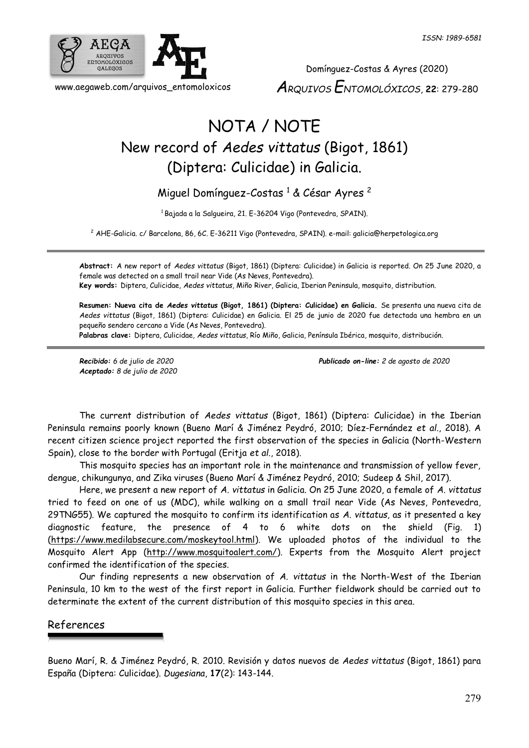

Domínguez-Costas & Ayres (2020) *ARQUIVOS ENTOMOLÓXICOS*, **22**: 279-280

## NOTA / NOTE New record of *Aedes vittatus* (Bigot, 1861) (Diptera: Culicidae) in Galicia.

## Miguel Domínguez-Costas <sup>1</sup> & César Ayres <sup>2</sup>

<sup>1</sup> Bajada a la Salgueira, 21. E-36204 Vigo (Pontevedra, SPAIN).

<sup>2</sup> AHE-Galicia. c/ Barcelona, 86, 6C. E-36211 Vigo (Pontevedra, SPAIN). e-mail: [galicia@herpetologica.org](mailto:galicia@herpetologica.org)

**Abstract:** A new report of *Aedes vittatus* (Bigot, 1861) (Diptera: Culicidae) in Galicia is reported. On 25 June 2020, a female was detected on a small trail near Vide (As Neves, Pontevedra). **Key words:** Diptera, Culicidae, *Aedes vittatus*, Miño River, Galicia, Iberian Peninsula, mosquito, distribution.

**Resumen: Nueva cita de** *Aedes vittatus* **(Bigot, 1861) (Diptera: Culicidae) en Galicia.** Se presenta una nueva cita de *Aedes vittatus* (Bigot, 1861) (Diptera: Culicidae) en Galicia. El 25 de junio de 2020 fue detectada una hembra en un pequeño sendero cercano a Vide (As Neves, Pontevedra).

**Palabras clave:** Diptera, Culicidae, *Aedes vittatus*, Río Miño, Galicia, Península Ibérica, mosquito, distribución.

*Aceptado: 8 de julio de 2020*

*Recibido: 6 de julio de 2020 Publicado on-line: 2 de agosto de 2020*

The current distribution of *Aedes vittatus* (Bigot, 1861) (Diptera: Culicidae) in the Iberian Peninsula remains poorly known (Bueno Marí & Jiménez Peydró, 2010; Díez-Fernández *et al.*, 2018). A recent citizen science project reported the first observation of the species in Galicia (North-Western Spain), close to the border with Portugal (Eritja *et al.*, 2018).

This mosquito species has an important role in the maintenance and transmission of yellow fever, dengue, chikungunya, and Zika viruses (Bueno Marí & Jiménez Peydró, 2010; Sudeep & Shil, 2017).

Here, we present a new report of *A. vittatus* in Galicia. On 25 June 2020, a female of *A. vittatus* tried to feed on one of us (MDC), while walking on a small trail near Vide (As Neves, Pontevedra, 29TNG55). We captured the mosquito to confirm its identification as *A. vittatus*, as it presented a key diagnostic feature, the presence of 4 to 6 white dots on the shield (Fig. 1) [\(https://www.medilabsecure.com/moskeytool.html\)](https://www.medilabsecure.com/moskeytool.html). We uploaded photos of the individual to the Mosquito Alert App [\(http://www.mosquitoalert.com/\)](http://www.mosquitoalert.com/). Experts from the Mosquito Alert project confirmed the identification of the species.

Our finding represents a new observation of *A. vittatus* in the North-West of the Iberian Peninsula, 10 km to the west of the first report in Galicia. Further fieldwork should be carried out to determinate the extent of the current distribution of this mosquito species in this area.

## References

Bueno Marí, R. & Jiménez Peydró, R. 2010. Revisión y datos nuevos de *Aedes vittatus* (Bigot, 1861) para España (Diptera: Culicidae). *Dugesiana*, **17**(2): 143-144.